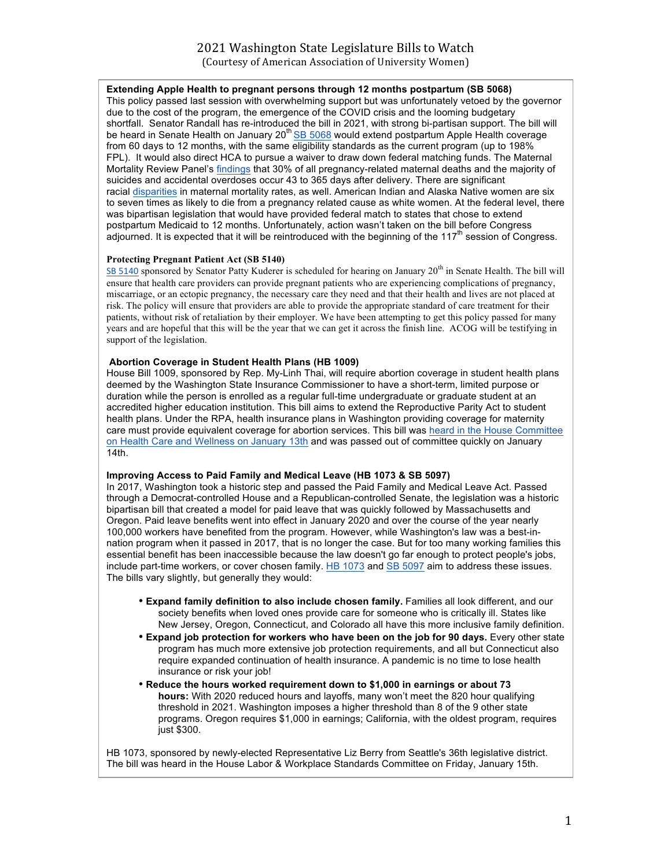# **Extending Apple Health to pregnant persons through 12 months postpartum (SB 5068)**

This policy passed last session with overwhelming support but was unfortunately vetoed by the governor due to the cost of the program, the emergence of the COVID crisis and the looming budgetary shortfall. Senator Randall has re-introduced the bill in 2021, with strong bi-partisan support. The bill will be heard in Senate Health on January 20<sup>th</sup> SB 5068 would extend postpartum Apple Health coverage from 60 days to 12 months, with the same eligibility standards as the current program (up to 198% FPL). It would also direct HCA to pursue a waiver to draw down federal matching funds. The Maternal Mortality Review Panel's findings that 30% of all pregnancy-related maternal deaths and the majority of suicides and accidental overdoses occur 43 to 365 days after delivery. There are significant racial disparities in maternal mortality rates, as well. American Indian and Alaska Native women are six to seven times as likely to die from a pregnancy related cause as white women. At the federal level, there was bipartisan legislation that would have provided federal match to states that chose to extend postpartum Medicaid to 12 months. Unfortunately, action wasn't taken on the bill before Congress adjourned. It is expected that it will be reintroduced with the beginning of the 117<sup>th</sup> session of Congress.

## **Protecting Pregnant Patient Act (SB 5140)**

SB 5140 sponsored by Senator Patty Kuderer is scheduled for hearing on January 20<sup>th</sup> in Senate Health. The bill will ensure that health care providers can provide pregnant patients who are experiencing complications of pregnancy, miscarriage, or an ectopic pregnancy, the necessary care they need and that their health and lives are not placed at risk. The policy will ensure that providers are able to provide the appropriate standard of care treatment for their patients, without risk of retaliation by their employer. We have been attempting to get this policy passed for many years and are hopeful that this will be the year that we can get it across the finish line. ACOG will be testifying in support of the legislation.

### **Abortion Coverage in Student Health Plans (HB 1009)**

House Bill 1009, sponsored by Rep. My-Linh Thai, will require abortion coverage in student health plans deemed by the Washington State Insurance Commissioner to have a short-term, limited purpose or duration while the person is enrolled as a regular full-time undergraduate or graduate student at an accredited higher education institution. This bill aims to extend the Reproductive Parity Act to student health plans. Under the RPA, health insurance plans in Washington providing coverage for maternity care must provide equivalent coverage for abortion services. This bill was heard in the House Committee on Health Care and Wellness on January 13th and was passed out of committee quickly on January 14th.

#### **Improving Access to Paid Family and Medical Leave (HB 1073 & SB 5097)**

In 2017, Washington took a historic step and passed the Paid Family and Medical Leave Act. Passed through a Democrat-controlled House and a Republican-controlled Senate, the legislation was a historic bipartisan bill that created a model for paid leave that was quickly followed by Massachusetts and Oregon. Paid leave benefits went into effect in January 2020 and over the course of the year nearly 100,000 workers have benefited from the program. However, while Washington's law was a best-innation program when it passed in 2017, that is no longer the case. But for too many working families this essential benefit has been inaccessible because the law doesn't go far enough to protect people's jobs, include part-time workers, or cover chosen family. HB 1073 and SB 5097 aim to address these issues. The bills vary slightly, but generally they would:

- **Expand family definition to also include chosen family.** Families all look different, and our society benefits when loved ones provide care for someone who is critically ill. States like New Jersey, Oregon, Connecticut, and Colorado all have this more inclusive family definition.
- **Expand job protection for workers who have been on the job for 90 days.** Every other state program has much more extensive job protection requirements, and all but Connecticut also require expanded continuation of health insurance. A pandemic is no time to lose health insurance or risk your job!
- **Reduce the hours worked requirement down to \$1,000 in earnings or about 73 hours:** With 2020 reduced hours and layoffs, many won't meet the 820 hour qualifying threshold in 2021. Washington imposes a higher threshold than 8 of the 9 other state programs. Oregon requires \$1,000 in earnings; California, with the oldest program, requires just \$300.

HB 1073, sponsored by newly-elected Representative Liz Berry from Seattle's 36th legislative district. The bill was heard in the House Labor & Workplace Standards Committee on Friday, January 15th.